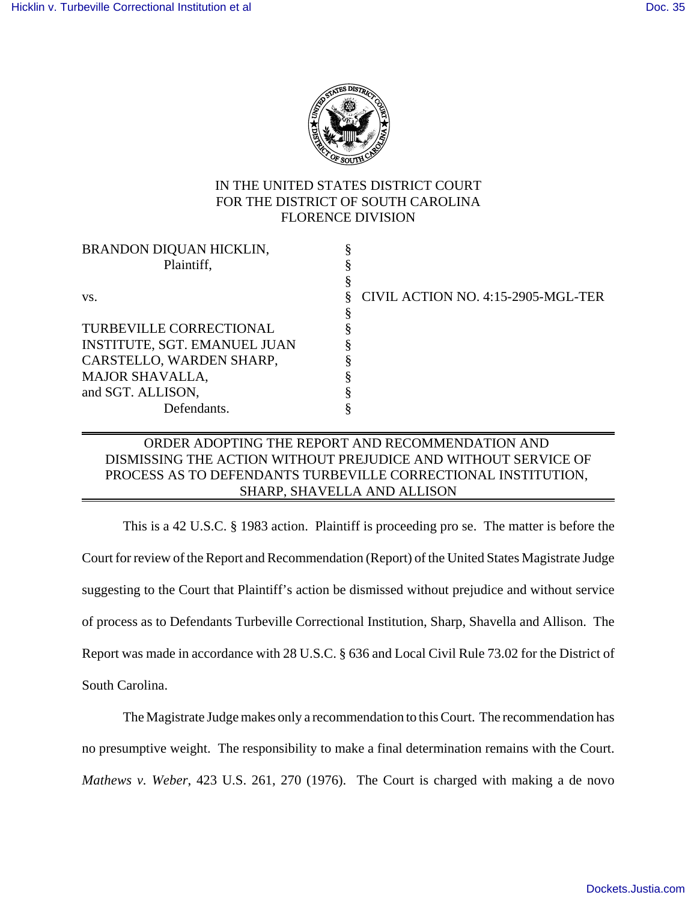

## IN THE UNITED STATES DISTRICT COURT FOR THE DISTRICT OF SOUTH CAROLINA FLORENCE DIVISION

| CIVIL ACTION NO. 4:15-2905-MGL-TER |
|------------------------------------|
|                                    |
|                                    |
|                                    |
|                                    |
|                                    |
|                                    |
|                                    |
|                                    |

# ORDER ADOPTING THE REPORT AND RECOMMENDATION AND DISMISSING THE ACTION WITHOUT PREJUDICE AND WITHOUT SERVICE OF PROCESS AS TO DEFENDANTS TURBEVILLE CORRECTIONAL INSTITUTION, SHARP, SHAVELLA AND ALLISON

This is a 42 U.S.C. § 1983 action. Plaintiff is proceeding pro se. The matter is before the Court for review of the Report and Recommendation (Report) of the United States Magistrate Judge suggesting to the Court that Plaintiff's action be dismissed without prejudice and without service of process as to Defendants Turbeville Correctional Institution, Sharp, Shavella and Allison. The Report was made in accordance with 28 U.S.C. § 636 and Local Civil Rule 73.02 for the District of South Carolina.

The Magistrate Judge makes only a recommendation to this Court. The recommendation has no presumptive weight. The responsibility to make a final determination remains with the Court. *Mathews v. Weber*, 423 U.S. 261, 270 (1976). The Court is charged with making a de novo